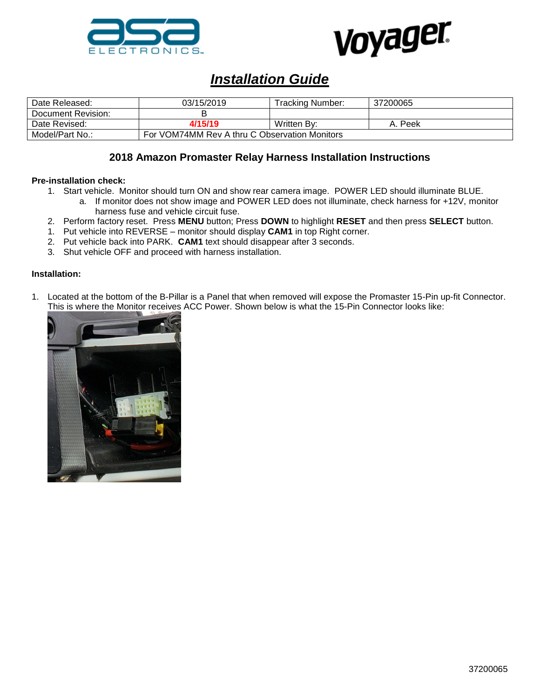



# *Installation Guide*

| Date Released:     | 03/15/2019                                    | Tracking Number: | 37200065 |
|--------------------|-----------------------------------------------|------------------|----------|
| Document Revision: |                                               |                  |          |
| Date Revised:      | 4/15/19                                       | Written By:      | Peek     |
| Model/Part No.:    | For VOM74MM Rev A thru C Observation Monitors |                  |          |

## **2018 Amazon Promaster Relay Harness Installation Instructions**

### **Pre-installation check:**

- 1. Start vehicle. Monitor should turn ON and show rear camera image. POWER LED should illuminate BLUE.
	- a. If monitor does not show image and POWER LED does not illuminate, check harness for +12V, monitor harness fuse and vehicle circuit fuse.
- 2. Perform factory reset. Press **MENU** button; Press **DOWN** to highlight **RESET** and then press **SELECT** button.
- 1. Put vehicle into REVERSE monitor should display **CAM1** in top Right corner.
- 2. Put vehicle back into PARK. **CAM1** text should disappear after 3 seconds.
- 3. Shut vehicle OFF and proceed with harness installation.

#### **Installation:**

1. Located at the bottom of the B-Pillar is a Panel that when removed will expose the Promaster 15-Pin up-fit Connector. This is where the Monitor receives ACC Power. Shown below is what the 15-Pin Connector looks like:

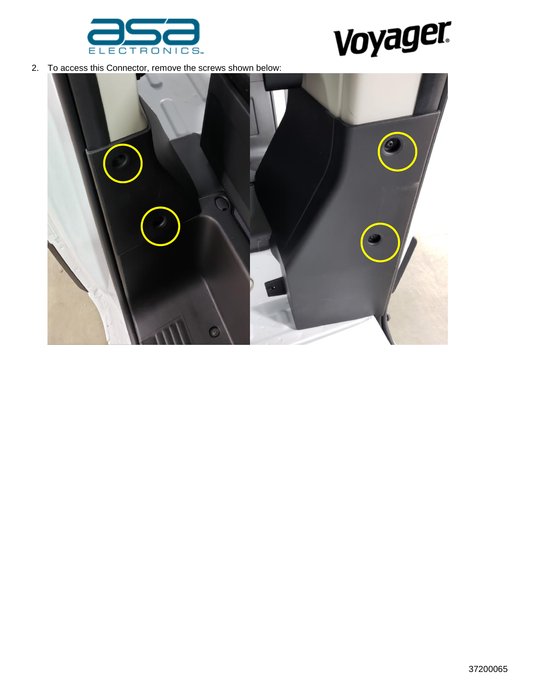



2. To access this Connector, remove the screws shown below:

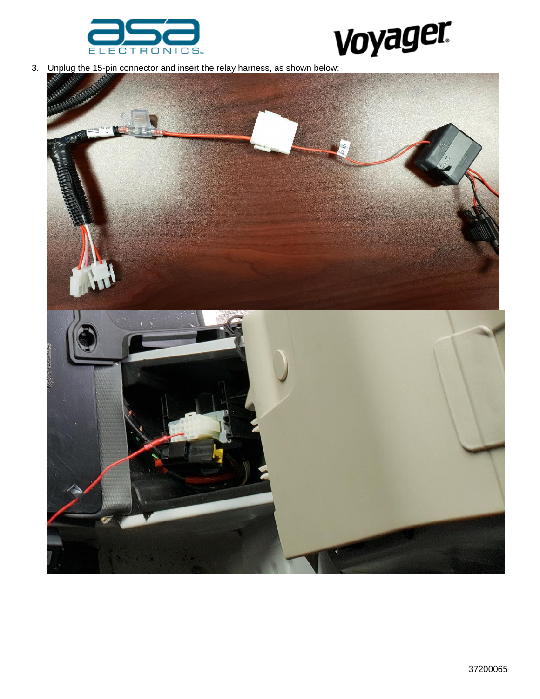



3. Unplug the 15-pin connector and insert the relay harness, as shown below:

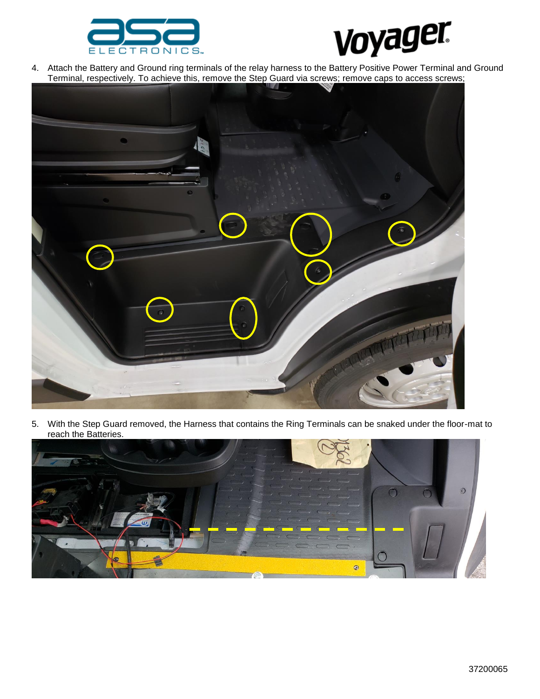



4. Attach the Battery and Ground ring terminals of the relay harness to the Battery Positive Power Terminal and Ground Terminal, respectively. To achieve this, remove the Step Guard via screws; remove caps to access screws;



5. With the Step Guard removed, the Harness that contains the Ring Terminals can be snaked under the floor-mat to reach the Batteries.